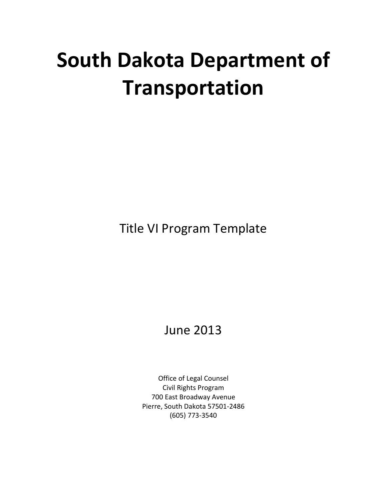# **South Dakota Department of Transportation**

Title VI Program Template

June 2013

Office of Legal Counsel Civil Rights Program 700 East Broadway Avenue Pierre, South Dakota 57501-2486 (605) 773-3540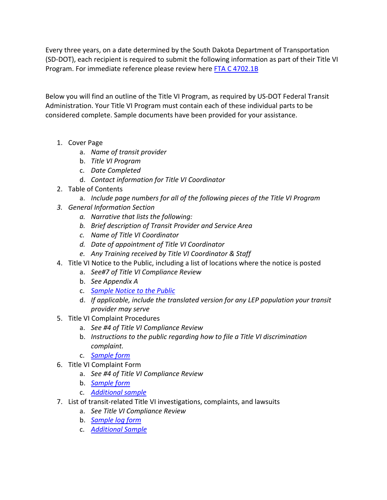Every three years, on a date determined by the South Dakota Department of Transportation (SD-DOT), each recipient is required to submit the following information as part of their Title VI Program. For immediate reference please review her[e FTA C 4702.1B](http://www.fta.dot.gov/documents/FTA_Title_VI_FINAL.pdf)

Below you will find an outline of the Title VI Program, as required by US-DOT Federal Transit Administration. Your Title VI Program must contain each of these individual parts to be considered complete. Sample documents have been provided for your assistance.

- 1. Cover Page
	- a. *Name of transit provider*
	- b. *Title VI Program*
	- c. *Date Completed*
	- d. *Contact information for Title VI Coordinator*
- 2. Table of Contents
	- a. *Include page numbers for all of the following pieces of the Title VI Program*
- *3. General Information Section*
	- *a. Narrative that lists the following:*
	- *b. Brief description of Transit Provider and Service Area*
	- *c. Name of Title VI Coordinator*
	- *d. Date of appointment of Title VI Coordinator*
	- *e. Any Training received by Title VI Coordinator & Staff*
- 4. Title VI Notice to the Public, including a list of locations where the notice is posted
	- a. *See#7 of Title VI Compliance Review*
	- b. *See Appendix A*
	- c. *[Sample Notice to the Public](http://www.sddot.com/services/civil/docs/examplesofnoticeofpublicrights.pdf)*
	- d. *If applicable, include the translated version for any LEP population your transit provider may serve*
- 5. Title VI Complaint Procedures
	- a. *See #4 of Title VI Compliance Review*
	- b. *Instructions to the public regarding how to file a Title VI discrimination complaint.*
	- c. *[Sample form](http://www.sddot.com/services/civil/docs/NondiscriminationComplaintProcedure_BoilerplateSubs.pdf)*
- 6. Title VI Complaint Form
	- a. *See #4 of Title VI Compliance Review*
	- b. *[Sample form](http://www.sddot.com/services/civil/docs/complaintformtitlevi.pdf)*
	- c. *[Additional sample](http://www.sddot.com/services/civil/docs/FTAExampleofComplaintForm.pdf)*
- 7. List of transit-related Title VI investigations, complaints, and lawsuits
	- a. *See Title VI Compliance Review*
	- b. *[Sample log form](http://www.sddot.com/services/civil/docs/TitleVIComplaintLogsFTAExampleforSub.pdf)*
	- c. *[Additional Sample](http://www.sddot.com/services/civil/docs/TitleVIComplaintLogsExampleforSub.pdf)*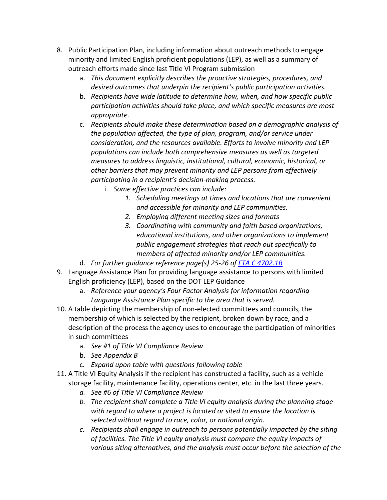- 8. Public Participation Plan, including information about outreach methods to engage minority and limited English proficient populations (LEP), as well as a summary of outreach efforts made since last Title VI Program submission
	- a. *This document explicitly describes the proactive strategies, procedures, and desired outcomes that underpin the recipient's public participation activities.*
	- b. *Recipients have wide latitude to determine how, when, and how specific public participation activities should take place, and which specific measures are most appropriate.*
	- c. *Recipients should make these determination based on a demographic analysis of the population affected, the type of plan, program, and/or service under consideration, and the resources available. Efforts to involve minority and LEP populations can include both comprehensive measures as well as targeted measures to address linguistic, institutional, cultural, economic, historical, or other barriers that may prevent minority and LEP persons from effectively participating in a recipient's decision-making process.*
		- i. *Some effective practices can include:*
			- *1. Scheduling meetings at times and locations that are convenient and accessible for minority and LEP communities.*
			- *2. Employing different meeting sizes and formats*
			- *3. Coordinating with community and faith based organizations, educational institutions, and other organizations to implement public engagement strategies that reach out specifically to members of affected minority and/or LEP communities.*
	- d. *For further guidance reference page(s) 25-26 of [FTA C 4702.1B](http://www.fta.dot.gov/documents/FTA_Title_VI_FINAL.pdf)*
- 9. Language Assistance Plan for providing language assistance to persons with limited English proficiency (LEP), based on the DOT LEP Guidance
	- a. *Reference your agency's Four Factor Analysis for information regarding Language Assistance Plan specific to the area that is served.*
- 10. A table depicting the membership of non-elected committees and councils, the membership of which is selected by the recipient, broken down by race, and a description of the process the agency uses to encourage the participation of minorities in such committees
	- a. *See #1 of Title VI Compliance Review*
	- b. *See Appendix B*
	- c. *Expand upon table with questions following table*
- 11. A Title VI Equity Analysis if the recipient has constructed a facility, such as a vehicle storage facility, maintenance facility, operations center, etc. in the last three years.
	- *a. See #6 of Title VI Compliance Review*
	- *b. The recipient shall complete a Title VI equity analysis during the planning stage with regard to where a project is located or sited to ensure the location is selected without regard to race, color, or national origin.*
	- *c. Recipients shall engage in outreach to persons potentially impacted by the siting of facilities. The Title VI equity analysis must compare the equity impacts of various siting alternatives, and the analysis must occur before the selection of the*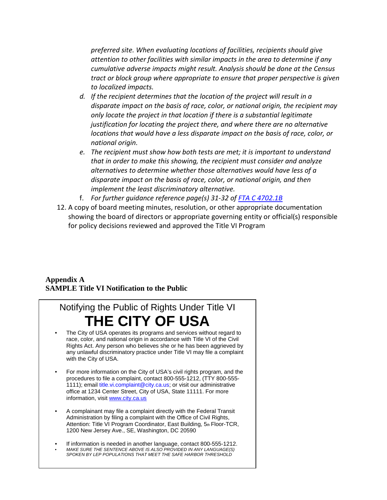*preferred site. When evaluating locations of facilities, recipients should give attention to other facilities with similar impacts in the area to determine if any cumulative adverse impacts might result. Analysis should be done at the Census tract or block group where appropriate to ensure that proper perspective is given to localized impacts.*

- *d. If the recipient determines that the location of the project will result in a disparate impact on the basis of race, color, or national origin, the recipient may only locate the project in that location if there is a substantial legitimate justification for locating the project there, and where there are no alternative locations that would have a less disparate impact on the basis of race, color, or national origin.*
- *e. The recipient must show how both tests are met; it is important to understand that in order to make this showing, the recipient must consider and analyze alternatives to determine whether those alternatives would have less of a disparate impact on the basis of race, color, or national origin, and then implement the least discriminatory alternative.*
- f. *For further guidance reference page(s) 31-32 of [FTA C 4702.1B](http://www.fta.dot.gov/documents/FTA_Title_VI_FINAL.pdf)*
- 12. A copy of board meeting minutes, resolution, or other appropriate documentation showing the board of directors or appropriate governing entity or official(s) responsible for policy decisions reviewed and approved the Title VI Program

## **Appendix A SAMPLE Title VI Notification to the Public**